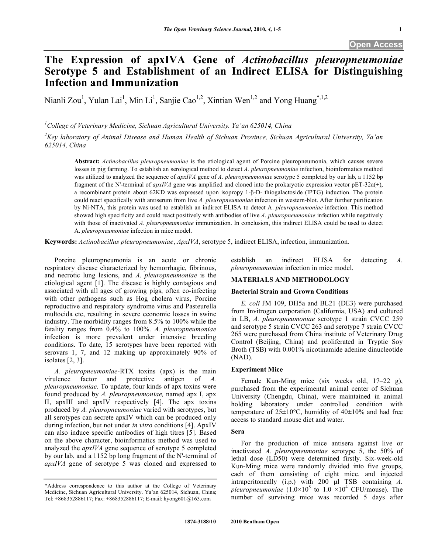# **The Expression of apxIVA Gene of** *Actinobacillus pleuropneumoniae* **Serotype 5 and Establishment of an Indirect ELISA for Distinguishing Infection and Immunization**

Nianli Zou<sup>1</sup>, Yulan Lai<sup>1</sup>, Min Li<sup>1</sup>, Sanjie Cao<sup>1,2</sup>, Xintian Wen<sup>1,2</sup> and Yong Huang<sup>\*,1,2</sup>

*1 College of Veterinary Medicine, Sichuan Agricultural University. Ya'an 625014, China* 

*2 Key laboratory of Animal Disease and Human Health of Sichuan Province, Sichuan Agricultural University, Ya'an 625014, China* 

**Abstract:** *Actinobacillus pleuropneumoniae* is the etiological agent of Porcine pleuropneumonia, which causes severe losses in pig farming. To establish an serological method to detect *A. pleuropneumoniae* infection, bioinformatics method was utilized to analyzed the sequence of *apxIVA* gene of *A. pleuropneumoniae* serotype 5 completed by our lab, a 1152 bp fragment of the N'-terminal of *apxIVA* gene was amplified and cloned into the prokaryotic expression vector pET-32a(+), a recombinant protein about  $62KD$  was expressed upon isopropy  $1-\beta$ -D- thiogalactoside (IPTG) induction. The protein could react specifically with antiserum from live *A. pleuropneumoniae* infection in western-blot. After further purification by Ni-NTA, this protein was used to establish an indirect ELISA to detect A. *pleuropneumoniae* infection. This method showed high specificity and could react positively with antibodies of live *A. pleuropneumoniae* infection while negatively with those of inactivated *A. pleuropneumoniae* immunization. In conclusion, this indirect ELISA could be used to detect A. *pleuropneumoniae* infection in mice model.

**Keywords:** *Actinobacillus pleuropneumoniae*, *ApxIVA*, serotype 5, indirect ELISA, infection, immunization.

 Porcine pleuropneumonia is an acute or chronic respiratory disease characterized by hemorrhagic, fibrinous, and necrotic lung lesions, and *A. pleuropneumoniae* is the etiological agent [1]. The disease is highly contagious and associated with all ages of growing pigs, often co-infecting with other pathogens such as Hog cholera virus, Porcine reproductive and respiratory syndrome virus and Pasteurella multocida etc, resulting in severe economic losses in swine industry. The morbidity ranges from 8.5% to 100% while the fatality ranges from 0.4% to 100%. *A. pleuropneumoniae* infection is more prevalent under intensive breeding conditions. To date, 15 serotypes have been reported with serovars 1, 7, and 12 making up approximately 90% of isolates [2, 3].

 *A. pleuropneumoniae*-RTX toxins (apx) is the main virulence factor and protective antigen of *A. pleuropneumoniae.* To update, four kinds of apx toxins were found produced by *A. pleuropneumoniae,* named apx I, apx II, apxIII and apxIV respectively [4]. The apx toxins produced by *A. pleuropneumoniae* varied with serotypes, but all serotypes can secrete apxIV which can be produced only during infection, but not under *in vitro* conditions [4]. ApxIV can also induce specific antibodies of high titres [5]. Based on the above character, bioinformatics method was used to analyzed the *apxIVA* gene sequence of serotype 5 completed by our lab, and a 1152 bp long fragment of the N'-terminal of *apxIVA* gene of serotype 5 was cloned and expressed to

establish an indirect ELISA for detecting *A*. *pleuropneumoniae* infection in mice model.

# **MATERIALS AND METHODOLOGY**

# **Bacterial Strain and Grown Conditions**

 *E. coli* JM 109, DH5a and BL21 (DE3) were purchased from Invitrogen corporation (California, USA) and cultured in LB, *A. pleuropneumoniae* serotype 1 strain CVCC 259 and serotype 5 strain CVCC 263 and serotype 7 strain CVCC 265 were purchased from China institute of Veterinary Drug Control (Beijing, China) and proliferated in Tryptic Soy Broth (TSB) with 0.001% nicotinamide adenine dinucleotide (NAD).

# **Experiment Mice**

 Female Kun-Ming mice (six weeks old, 17–22 g), purchased from the experimental animal center of Sichuan University (Chengdu, China), were maintained in animal holding laboratory under controlled condition with temperature of  $25\pm10^{\circ}$ C, humidity of  $40\pm10\%$  and had free access to standard mouse diet and water.

#### **Sera**

 For the production of mice antisera against live or inactivated *A. pleuropneumoniae* serotype 5, the 50% of lethal dose (LD50) were determined firstly. Six-week-old Kun-Ming mice were randomly divided into five groups, each of them consisting of eight mice. and injected intraperitoneally (i.p.) with 200 μl TSB containing *A. pleuropneumoniae*  $(1.0 \times 10^8$  to  $1.0 \times 10^4$  CFU/mouse). The number of surviving mice was recorded 5 days after

<sup>\*</sup>Address correspondence to this author at the College of Veterinary Medicine, Sichuan Agricultural University. Ya'an 625014, Sichuan, China; Tel: +868352886117; Fax: +868352886117; E-mail: hyong601@163.com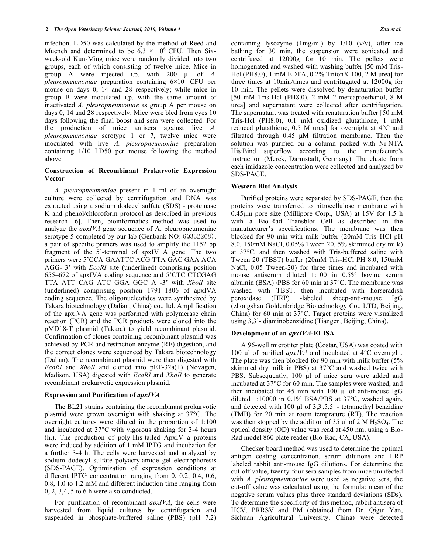infection. LD50 was calculated by the method of Reed and Muench and determined to be  $6.3 \times 10^6$  CFU. Then Sixweek-old Kun-Ming mice were randomly divided into two groups, each of which consisting of twelve mice. Mice in group A were injected i.p. with 200 μl of *A. pleuropneumoniae* preparation containing  $6\times10^5$  CFU per mouse on days 0, 14 and 28 respectively; while mice in group B were inoculated i.p. with the same amount of inactivated *A. pleuropneumoniae* as group A per mouse on days 0, 14 and 28 respectively. Mice were bled from eyes 10 days following the final boost and sera were collected. For the production of mice antisera against live *A. pleuropneumoniae* serotype 1 or 7, twelve mice were inoculated with live *A. pleuropneumoniae* preparation containing 1/10 LD50 per mouse following the method above.

# **Construction of Recombinant Prokaryotic Expression Vector**

 *A. pleuropneumoniae* present in 1 ml of an overnight culture were collected by centrifugation and DNA was extracted using a sodium dodecyl sulfate (SDS) - proteinase K and phenol/chloroform protocol as described in previous research [6]. Then, bioinformatics method was used to analyze the *apxIVA* gene sequence of A. pleuropneumoniae serotype 5 completed by our lab (Genbank NO: GQ332268), a pair of specific primers was used to amplify the 1152 bp fragment of the 5'-terminal of apxIV A gene. The two primers were 5'CCA GAATTC ACG TTA GAC GAA ACA AGG- 3' with *EcoRI* site (underlined) comprising position 655–672 of apxIVA coding sequence and 5'CTC CTCGAG TTA ATT CAG ATC GGA GGC A -3' with *XholI* site (underlined) comprising position 1791–1806 of apxIVA coding sequence. The oligonucleotides were synthesized by Takara biotechnology (Dalian, China) co., ltd. Amplification of the apx  *gene was performed with polymerase chain* reaction (PCR) and the PCR products were cloned into the pMD18-T plasmid (Takara) to yield recombinant plasmid. Confirmation of clones containing recombinant plasmid was achieved by PCR and restriction enzyme (RE) digestion, and the correct clones were sequenced by Takara biotechnology (Dalian). The recombinant plasmid were then digested with *EcoRI* and *XholI* and cloned into pET-32a(+) (Novagen, Madison, USA) digested with *EcoRI* and *XholI* to generate recombinant prokaryotic expression plasmid.

## **Expression and Purification of** *apxIVA*

 The BL21 strains containing the recombinant prokaryotic plasmid were grown overnight with shaking at 37°C. The overnight cultures were diluted in the proportion of 1:100 and incubated at 37°C with vigorous shaking for 3-4 hours (h.). The production of poly-His-tailed ApxIV a proteins were induced by addition of 1 mM IPTG and incubation for a further 3-4 h. The cells were harvested and analyzed by sodium dodecyl sulfate polyacrylamide gel electrophoresis (SDS-PAGE). Optimization of expression conditions at different IPTG concentration ranging from 0, 0.2, 0.4, 0.6, 0.8, 1.0 to 1.2 mM and different induction time ranging from 0, 2, 3,4, 5 to 6 h were also conducted.

 For purification of recombinant *apxIVA*, the cells were harvested from liquid cultures by centrifugation and suspended in phosphate-buffered saline (PBS) (pH 7.2) containing lysozyme  $(1mg/ml)$  by  $1/10$  (v/v), after ice bathing for 30 min, the suspension were sonicated and centrifuged at 12000g for 10 min. The pellets were homogenated and washed with washing buffer [50 mM Tris-Hcl (PH8.0), 1 mM EDTA, 0.2% TritonX-100, 2 M urea] for three times at 10min/times and centrifugated at 12000g for 10 min. The pellets were dissolved by denaturation buffer [50 mM Tris-Hcl (PH8.0), 2 mM 2-mercaptoethanol, 8 M urea] and supernatant were collected after centrifugation. The supernatant was treated with renaturation buffer [50 mM Tris-Hcl (PH8.0), 0.1 mM oxidized glutathione, 1 mM reduced glutathione, 0.5 M urea] for overnight at 4°C and filtrated through 0.45 μM filtration membrane. Then the solution was purified on a column packed with Ni-NTA His·Bind superflow according to the manufacture's instruction (Merck, Darmstadt, Germany). The eluate from each imidazole concentration were collected and analyzed by SDS-PAGE.

# **Western Blot Analysis**

 Purified proteins were separated by SDS-PAGE, then the proteins were transferred to nitrocellulose membrane with 0.45μm pore size (Millipore Corp., USA) at 15V for 1.5 h with a Bio-Rad Transblot Cell as described in the manufacturer's specifications. The membrane was then blocked for 90 min with milk buffer (20mM Tris–HCl pH 8.0, 150mM NaCl, 0.05% Tween 20, 5% skimmed dry milk) at 37°C, and then washed with Tris-buffered saline with Tween 20 (TBST) buffer (20mM Tris-HCl PH 8.0, 150mM NaCl, 0.05 Tween-20) for three times and incubated with mouse antiserum diluted 1:100 in 0.5% bovine serum albumin (BSA) /PBS for 60 min at 37°C. The membrane was washed with TBST, then incubated with horseradish peroxidase (HRP) -labeled sheep-anti-mouse IgG (zhongshan Goldenbridge Biotechnology Co., LTD, Beijing, China) for 60 min at 37°C. Target proteins were visualized using 3,3'- diaminobenzidine (Tiangen, Beijing, China).

# **Development of an** *apxIVA***-ELISA**

 A 96-well microtiter plate (Costar, USA) was coated with 100 μl of purified *apx IVA* and incubated at 4°C overnight. The plate was then blocked for 90 min with milk buffer (5% skimmed dry milk in PBS) at 37°C and washed twice with PBS. Subsequently, 100 μl of mice sera were added and incubated at 37°C for 60 min. The samples were washed, and then incubated for 45 min with 100 μl of anti-mouse IgG diluted 1:10000 in 0.1% BSA/PBS at 37°C, washed again, and detected with 100 μl of 3,3',5,5' - tetramethyl benzidine (TMB) for 20 min at room temprature (RT). The reaction was then stopped by the addition of 35 μl of 2 M  $H_2SO_4$ . The optical density (OD) value was read at 450 nm, using a Bio-Rad model 860 plate reader (Bio-Rad, CA, USA).

 Checker board method was used to determine the optimal antigen coating concentration, serum dilutions and HRP labeled rabbit anti-mouse IgG dilutions. For determine the cut-off value, twenty-four sera samples from mice uninfected with *A. pleuropneumoniae* were used as negative sera, the cut-off value was calculated using the formula: mean of the negative serum values plus three standard deviations (SDs). To determine the specificity of this method, rabbit antisera of HCV, PRRSV and PM (obtained from Dr. Qigui Yan, Sichuan Agricultural University, China) were detected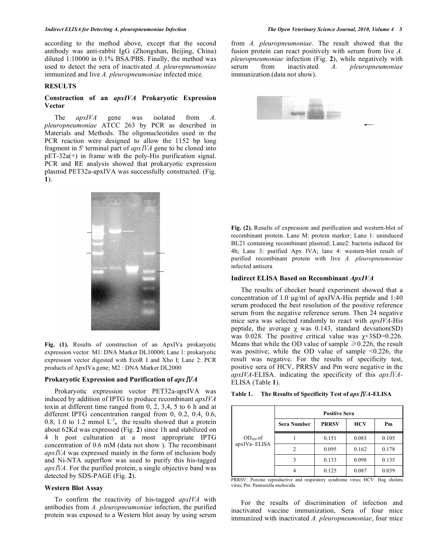#### *Indirect ELISA for Detecting A. pleuropneumoniae Infection The Open Veterinary Science Journal, 2010, Volume 4* **3**

according to the method above, except that the second antibody was anti-rabbit IgG (Zhongshan, Beijing, China) diluted 1:10000 in 0.1% BSA/PBS. Finally, the method was used to detect the sera of inactivated *A. pleuropneumoniae* immunized and live *A. pleuropneumoniae* infected mice.

#### **RESULTS**

# **Construction of an** *apxIVA* **Prokaryotic Expression Vector**

 The *apxIVA* gene was isolated from *A. pleuropneumoniae* ATCC 263 by PCR as described in Materials and Methods. The oligonucleotides used in the PCR reaction were designed to allow the 1152 bp long fragment in 5' terminal part of  $apx<sub>1</sub>*NA*$  gene to be cloned into pET-32a(+) in frame with the poly-His purification signal. PCR and RE analysis showed that prokaryotic expression plasmid PET32a-apxIVA was successfully constructed. (Fig. **1**).



**Fig. (1).** Results of construction of an ApxIVa prokaryotic expression vector. M1: DNA Marker DL10000; Lane 1: prokaryotic expression vector digested with EcoR I and Xho I; Lane 2: PCR products of ApxIVa gene; M2 : DNA Marker DL2000

# **Prokaryotic Expression and Purification of** *apxA*

 Prokaryotic expression vector PET32a-apxIVA was induced by addition of IPTG to produce recombinant *apxIVA* toxin at different time ranged from 0, 2, 3,4, 5 to 6 h and at different IPTG concentration ranged from 0, 0.2, 0.4, 0.6, 0.8, 1.0 to 1.2 mmol  $L^{-1}$ , the results showed that a protein about 62Kd was expressed (Fig. **2**) since 1h and stabilized on 4 h post culturation at a most appropriate IPTG concentration of 0.6 mM (data not show ). The recombinant *apxA* was expressed mainly in the form of inclusion body and Ni-NTA superflow was used to purify this his-tagged *apxA*. For the purified protein, a single objective band was detected by SDS-PAGE (Fig. **2**).

# **Western Blot Assay**

 To confirm the reactivity of his-tagged *apxIVA* with antibodies from *A. pleuropneumoniae* infection, the purified protein was exposed to a Western blot assay by using serum from *A. pleuropneumoniae*. The result showed that the fusion protein can react positively with serum from live *A. pleuropneumoniae* infection (Fig. **2**), while negatively with serum from inactivated *A. pleuropneumoniae*  immunization.(data not show).

 *-*  $\leftarrow$   $\leftarrow$   $\leftarrow$   $\leftarrow$   $\leftarrow$   $\leftarrow$ 

**Fig. (2).** Results of expression and purification and western-blot of recombinant protein. Lane M: protein marker; Lane 1: uninduced BL21 containing recombinant plasmid; Lane2: bacteria induced for 4h; Lane 3: purified Apx IVA; lane 4: western-blot result of purified recombinant protein with live *A. pleuropneumoniae* infected antisera

#### **Indirect ELISA Based on Recombinant** *ApxIVA*

 The results of checker board experiment showed that a concentration of 1.0 μg/ml of apxIVA-His peptide and 1:40 serum produced the best resolution of the positive reference serum from the negative reference serum. Then 24 negative mice sera was selected randomly to react with *apxIVA*-His peptide, the average  $\gamma$  was 0.143, standard deviation(SD) was 0.028. The positive critical value was  $\gamma$ +3SD=0.226. Means that while the OD value of sample  $\geq 0.226$ , the result was positive; while the OD value of sample <0.226, the result was negative. For the results of specificity test, positive sera of HCV, PRRSV and Pm were negative in the *apxIVA*-ELISA. indicating the specificity of this *apxA*-ELISA (Table **1**).

| The Results of Specificity Test of apx IVA-ELISA<br>Table 1. |  |
|--------------------------------------------------------------|--|
|--------------------------------------------------------------|--|

| $OD450$ of<br>apxIVa-ELISA | <b>Positive Sera</b> |              |            |       |
|----------------------------|----------------------|--------------|------------|-------|
|                            | <b>Sera Number</b>   | <b>PRRSV</b> | <b>HCV</b> | Pm    |
|                            |                      | 0.151        | 0.083      | 0.105 |
|                            |                      | 0.095        | 0.162      | 0.178 |
|                            | $\mathbf 3$          | 0.133        | 0.098      | 0.135 |
|                            |                      | 0.125        | 0.087      | 0.039 |

PRRSV: Porcine reproductive and respiratory syndrome virus; HCV: Hog cholera virus; Pm: Pasteurella multocida.

 For the results of discrimination of infection and inactivated vaccine immunization, Sera of four mice immunized with inactivated *A. pleuropneumoniae*, four mice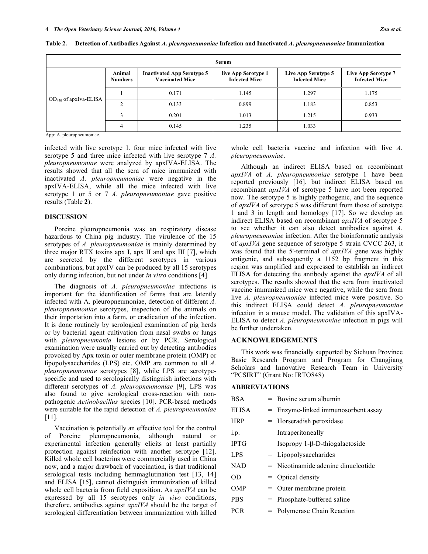| Serum                                                                                                                                                                                                                                                                 |                          |                                                             |                                             |                                             |                                             |
|-----------------------------------------------------------------------------------------------------------------------------------------------------------------------------------------------------------------------------------------------------------------------|--------------------------|-------------------------------------------------------------|---------------------------------------------|---------------------------------------------|---------------------------------------------|
| $OD_{450}$ of apxIva-ELISA<br>$\lambda$ and $\lambda$ is the set of the set of the set of the set of the set of the set of the set of the set of the set of the set of the set of the set of the set of the set of the set of the set of the set of the set of the se | Animal<br><b>Numbers</b> | <b>Inactivated App Serotype 5</b><br><b>Vaccinated Mice</b> | live App Serotype 1<br><b>Infected Mice</b> | Live App Serotype 5<br><b>Infected Mice</b> | Live App Serotype 7<br><b>Infected Mice</b> |
|                                                                                                                                                                                                                                                                       |                          | 0.171                                                       | 1.145                                       | 1.297                                       | 1.175                                       |
|                                                                                                                                                                                                                                                                       |                          | 0.133                                                       | 0.899                                       | 1.183                                       | 0.853                                       |
|                                                                                                                                                                                                                                                                       |                          | 0.201                                                       | 1.013                                       | 1.215                                       | 0.933                                       |
|                                                                                                                                                                                                                                                                       |                          | 0.145                                                       | 1.235                                       | 1.033                                       |                                             |

**Table 2. Detection of Antibodies Against** *A. pleuropneumoniae* **Infection and Inactivated** *A. pleuropneumoniae* **Immunization** 

App: A. pleuropneumoniae.

infected with live serotype 1, four mice infected with live serotype 5 and three mice infected with live serotype 7 *A. pleuropneumoniae* were analyzed by apxIVA-ELISA. The results showed that all the sera of mice immunized with inactivated *A. pleuropneumoniae* were negative in the apxIVA-ELISA, while all the mice infected with live serotype 1 or 5 or 7 *A. pleuropneumoniae* gave positive results (Table **2**).

#### **DISCUSSION**

 Porcine pleuropneumonia was an respiratory disease hazardous to China pig industry. The virulence of the 15 serotypes of *A. pleuropneumoniae* is mainly determined by three major RTX toxins apx I, apx II and apx III [7], which are secreted by the different serotypes in various combinations, but apxIV can be produced by all 15 serotypes only during infection, but not under *in vitro* conditions [4].

 The diagnosis of *A. pleuropneumoniae* infections is important for the identification of farms that are latently infected with A. pleuropneumoniae, detection of different *A. pleuropneumoniae* serotypes, inspection of the animals on their importation into a farm, or eradication of the infection. It is done routinely by serological examination of pig herds or by bacterial agent cultivation from nasal swabs or lungs with *pleuropneumonia* lesions or by PCR. Serological examination were usually carried out by detecting antibodies provoked by Apx toxin or outer membrane protein (OMP) or lipopolysaccharides (LPS) etc. OMP are common to all *A. pleuropneumoniae* serotypes [8], while LPS are serotypespecific and used to serologically distinguish infections with different serotypes of *A. pleuropneumoniae* [9], LPS was also found to give serological cross-reaction with nonpathogenic *Actinobacillus* species [10]. PCR-based methods were suitable for the rapid detection of *A. pleuropneumoniae* [11].

 Vaccination is potentially an effective tool for the control of Porcine pleuropneumonia, although natural or experimental infection generally elicits at least partially protection against reinfection with another serotype [12]. Killed whole cell bacterins were commercially used in China now, and a major drawback of vaccination, is that traditional serological tests including hemmaglutination test [13, 14] and ELISA [15], cannot distinguish immunization of killed whole cell bacteria from field exposition. As *apxIVA* can be expressed by all 15 serotypes only *in vivo* conditions, therefore, antibodies against *apxIVA* should be the target of serological differentiation between immunization with killed

whole cell bacteria vaccine and infection with live *A. pleuropneumoniae*.

 Although an indirect ELISA based on recombinant *apxIV* of *A. pleuropneumoniae* serotype 1 have been reported previously [16], but indirect ELISA based on recombinant *apxIVA* of serotype 5 have not been reported now. The serotype 5 is highly pathogenic, and the sequence of *apxIVA* of serotype 5 was different from those of serotype 1 and 3 in length and homology [17]. So we develop an indirect ELISA based on recombinant *apxIVA* of serotype 5 to see whether it can also detect antibodies against *A. pleuropneumoniae* infection. After the bioinformatic analysis of *apxIVA* gene sequence of serotype 5 strain CVCC 263, it was found that the 5'-terminal of *apxIVA* gene was highly antigenic, and subsequently a 1152 bp fragment in this region was amplified and expressed to establish an indirect ELISA for detecting the antibody against th*e apxIVA* of all serotypes. The results showed that the sera from inactivated vaccine immunized mice were negative, while the sera from live *A. pleuropneumoniae* infected mice were positive. So this indirect ELISA could detect *A. pleuropneumoniae*  infection in a mouse model. The validation of this apxIVA-ELISA to detect *A. pleuropneumoniae* infection in pigs will be further undertaken.

## **ACKNOWLEDGEMENTS**

 This work was financially supported by Sichuan Province Basic Research Program and Program for Changjiang Scholars and Innovative Research Team in University "PCSIRT" (Grant No: IRTO848)

#### **ABBREVIATIONS**

| BSA          | $=$ Bovine serum albumin                   |
|--------------|--------------------------------------------|
| <b>ELISA</b> | $=$ Enzyme-linked immunosorbent assay      |
| <b>HRP</b>   | $=$ Horseradish peroxidase                 |
| i.p.         | $=$ Intraperitoneally                      |
| <b>IPTG</b>  | $=$ Isopropy 1- $\beta$ -D-thiogalactoside |
| LPS          | $=$ Lipopolysaccharides                    |
| <b>NAD</b>   | $=$ Nicotinamide adenine dinucleotide      |
| OD           | $=$ Optical density                        |
| OMP          | $=$ Outer membrane protein                 |
| <b>PBS</b>   | $=$ Phosphate-buffered saline              |
| PCR          | = Polymerase Chain Reaction                |
|              |                                            |